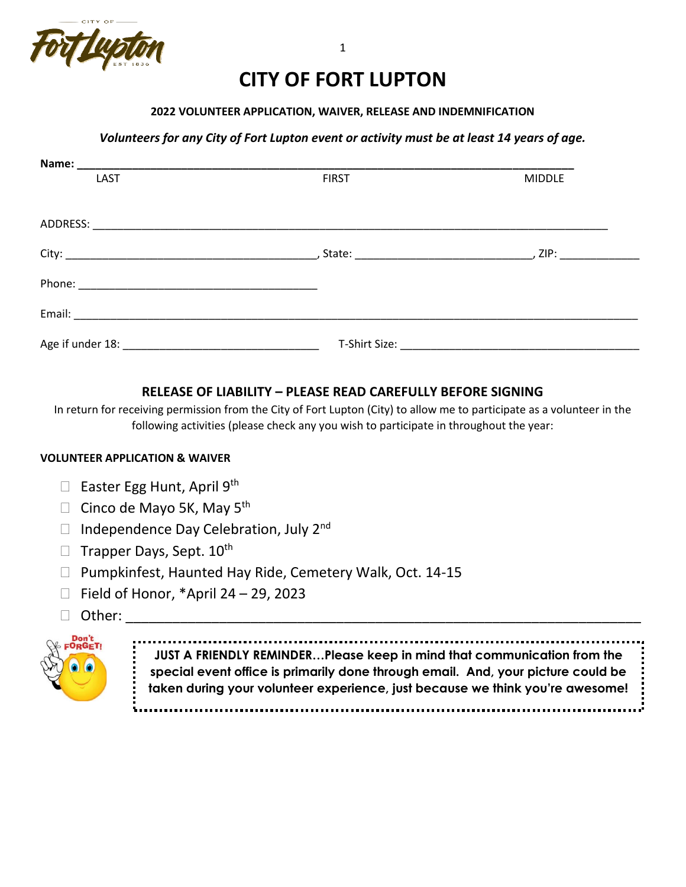

# **CITY OF FORT LUPTON**

#### **2022 VOLUNTEER APPLICATION, WAIVER, RELEASE AND INDEMNIFICATION**

#### *Volunteers for any City of Fort Lupton event or activity must be at least 14 years of age.*

| Name:    |                                                                           |               |
|----------|---------------------------------------------------------------------------|---------------|
| LAST     | <b>FIRST</b>                                                              | <b>MIDDLE</b> |
|          |                                                                           |               |
| ADDRESS: | <u> 1980 - Jan Bernard Bernard, management eta biztanleria (h. 1980).</u> |               |
|          |                                                                           |               |
|          |                                                                           |               |
|          |                                                                           |               |
|          |                                                                           |               |

## **RELEASE OF LIABILITY – PLEASE READ CAREFULLY BEFORE SIGNING**

In return for receiving permission from the City of Fort Lupton (City) to allow me to participate as a volunteer in the following activities (please check any you wish to participate in throughout the year:

#### **VOLUNTEER APPLICATION & WAIVER**

- **Easter Egg Hunt, April 9th**
- $\Box$  Cinco de Mayo 5K, May 5<sup>th</sup>
- $\Box$  Independence Day Celebration, July 2<sup>nd</sup>
- $\Box$  Trapper Days, Sept.  $10^{th}$
- □ Pumpkinfest, Haunted Hay Ride, Cemetery Walk, Oct. 14-15
- $\Box$  Field of Honor, \*April 24 29, 2023
- $\Box$  Other:



**JUST A FRIENDLY REMINDER…Please keep in mind that communication from the special event office is primarily done through email. And, your picture could be taken during your volunteer experience, just because we think you're awesome!**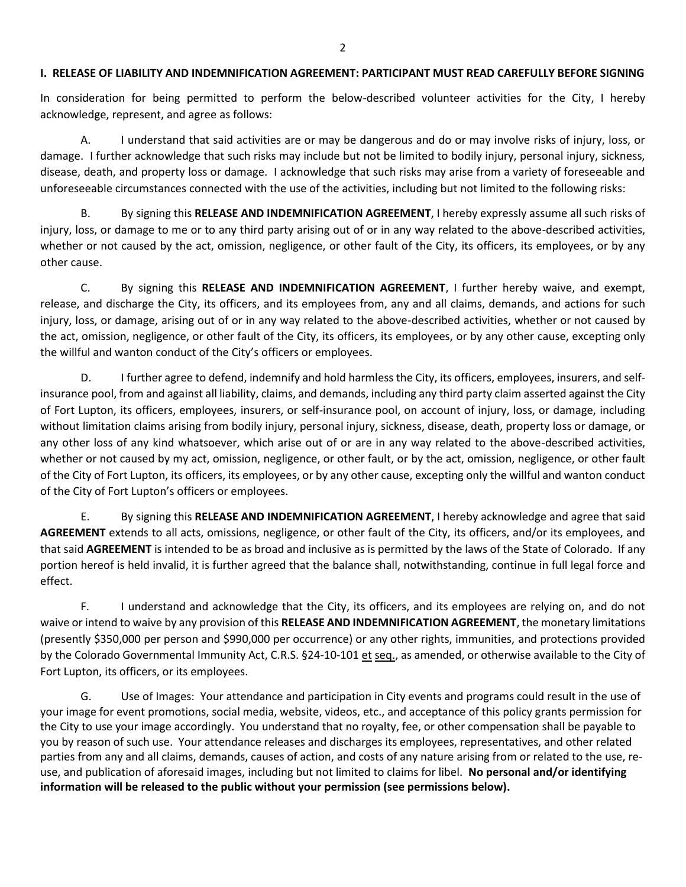#### **I. RELEASE OF LIABILITY AND INDEMNIFICATION AGREEMENT: PARTICIPANT MUST READ CAREFULLY BEFORE SIGNING**

In consideration for being permitted to perform the below-described volunteer activities for the City, I hereby acknowledge, represent, and agree as follows:

A. I understand that said activities are or may be dangerous and do or may involve risks of injury, loss, or damage. I further acknowledge that such risks may include but not be limited to bodily injury, personal injury, sickness, disease, death, and property loss or damage. I acknowledge that such risks may arise from a variety of foreseeable and unforeseeable circumstances connected with the use of the activities, including but not limited to the following risks:

B. By signing this **RELEASE AND INDEMNIFICATION AGREEMENT**, I hereby expressly assume all such risks of injury, loss, or damage to me or to any third party arising out of or in any way related to the above-described activities, whether or not caused by the act, omission, negligence, or other fault of the City, its officers, its employees, or by any other cause.

C. By signing this **RELEASE AND INDEMNIFICATION AGREEMENT**, I further hereby waive, and exempt, release, and discharge the City, its officers, and its employees from, any and all claims, demands, and actions for such injury, loss, or damage, arising out of or in any way related to the above-described activities, whether or not caused by the act, omission, negligence, or other fault of the City, its officers, its employees, or by any other cause, excepting only the willful and wanton conduct of the City's officers or employees.

D. I further agree to defend, indemnify and hold harmless the City, its officers, employees, insurers, and selfinsurance pool, from and against all liability, claims, and demands, including any third party claim asserted against the City of Fort Lupton, its officers, employees, insurers, or self-insurance pool, on account of injury, loss, or damage, including without limitation claims arising from bodily injury, personal injury, sickness, disease, death, property loss or damage, or any other loss of any kind whatsoever, which arise out of or are in any way related to the above-described activities, whether or not caused by my act, omission, negligence, or other fault, or by the act, omission, negligence, or other fault of the City of Fort Lupton, its officers, its employees, or by any other cause, excepting only the willful and wanton conduct of the City of Fort Lupton's officers or employees.

E. By signing this **RELEASE AND INDEMNIFICATION AGREEMENT**, I hereby acknowledge and agree that said **AGREEMENT** extends to all acts, omissions, negligence, or other fault of the City, its officers, and/or its employees, and that said **AGREEMENT** is intended to be as broad and inclusive as is permitted by the laws of the State of Colorado. If any portion hereof is held invalid, it is further agreed that the balance shall, notwithstanding, continue in full legal force and effect.

F. I understand and acknowledge that the City, its officers, and its employees are relying on, and do not waive or intend to waive by any provision of this **RELEASE AND INDEMNIFICATION AGREEMENT**, the monetary limitations (presently \$350,000 per person and \$990,000 per occurrence) or any other rights, immunities, and protections provided by the Colorado Governmental Immunity Act, C.R.S. §24-10-101 et seq., as amended, or otherwise available to the City of Fort Lupton, its officers, or its employees.

G. Use of Images: Your attendance and participation in City events and programs could result in the use of your image for event promotions, social media, website, videos, etc., and acceptance of this policy grants permission for the City to use your image accordingly. You understand that no royalty, fee, or other compensation shall be payable to you by reason of such use. Your attendance releases and discharges its employees, representatives, and other related parties from any and all claims, demands, causes of action, and costs of any nature arising from or related to the use, reuse, and publication of aforesaid images, including but not limited to claims for libel. **No personal and/or identifying information will be released to the public without your permission (see permissions below).**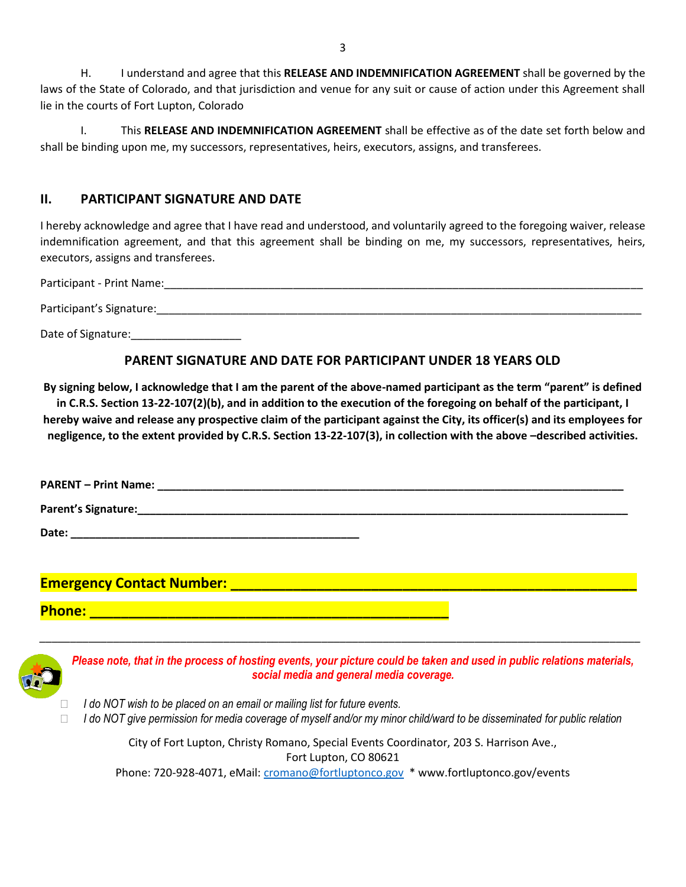H. I understand and agree that this **RELEASE AND INDEMNIFICATION AGREEMENT** shall be governed by the laws of the State of Colorado, and that jurisdiction and venue for any suit or cause of action under this Agreement shall lie in the courts of Fort Lupton, Colorado

I. This **RELEASE AND INDEMNIFICATION AGREEMENT** shall be effective as of the date set forth below and shall be binding upon me, my successors, representatives, heirs, executors, assigns, and transferees.

## **II. PARTICIPANT SIGNATURE AND DATE**

I hereby acknowledge and agree that I have read and understood, and voluntarily agreed to the foregoing waiver, release indemnification agreement, and that this agreement shall be binding on me, my successors, representatives, heirs, executors, assigns and transferees.

Participant - Print Name:\_\_\_\_\_\_\_\_\_\_\_\_\_\_\_\_\_\_\_\_\_\_\_\_\_\_\_\_\_\_\_\_\_\_\_\_\_\_\_\_\_\_\_\_\_\_\_\_\_\_\_\_\_\_\_\_\_\_\_\_\_\_\_\_\_\_\_\_\_\_\_\_\_\_\_\_\_\_ Participant's Signature:\_\_\_\_\_\_\_\_\_\_\_\_\_\_\_\_\_\_\_\_\_\_\_\_\_\_\_\_\_\_\_\_\_\_\_\_\_\_\_\_\_\_\_\_\_\_\_\_\_\_\_\_\_\_\_\_\_\_\_\_\_\_\_\_\_\_\_\_\_\_\_\_\_\_\_\_\_\_\_

Date of Signature:\_\_\_\_\_\_\_\_\_\_\_\_\_\_\_\_\_\_

## **PARENT SIGNATURE AND DATE FOR PARTICIPANT UNDER 18 YEARS OLD**

**By signing below, I acknowledge that I am the parent of the above-named participant as the term "parent" is defined in C.R.S. Section 13-22-107(2)(b), and in addition to the execution of the foregoing on behalf of the participant, I hereby waive and release any prospective claim of the participant against the City, its officer(s) and its employees for negligence, to the extent provided by C.R.S. Section 13-22-107(3), in collection with the above –described activities.**

**PARENT – Print Name:**  $\blacksquare$ **Parent's Signature:**  $\blacksquare$ **Date: \_\_\_\_\_\_\_\_\_\_\_\_\_\_\_\_\_\_\_\_\_\_\_\_\_\_\_\_\_\_\_\_\_\_\_\_\_\_\_\_\_\_\_\_\_\_\_**

**Emergency Contact Number: Letter Contact 2 and 2 and 2 and 2 and 2 and 2 and 2 and 2 and 2 and 2 and 2 and 2** 

**Phone: \_\_\_\_\_\_\_\_\_\_\_\_\_\_\_\_\_\_\_\_\_\_\_\_\_\_\_\_\_\_\_\_\_\_\_\_\_\_\_\_\_\_\_\_\_\_**



*Please note, that in the process of hosting events, your picture could be taken and used in public relations materials, social media and general media coverage.*

*\_\_\_\_\_\_\_\_\_\_\_\_\_\_\_\_\_\_\_\_\_\_\_\_\_\_\_\_\_\_\_\_\_\_\_\_\_\_\_\_\_\_\_\_\_\_\_\_\_\_\_\_\_\_\_\_\_\_\_\_\_\_\_\_\_\_\_\_\_\_\_\_\_\_\_\_\_\_\_\_\_\_\_\_\_\_\_\_\_\_\_\_\_\_\_\_\_\_*

- *I do NOT wish to be placed on an email or mailing list for future events.*
- *I do NOT give permission for media coverage of myself and/or my minor child/ward to be disseminated for public relation*

City of Fort Lupton, Christy Romano, Special Events Coordinator, 203 S. Harrison Ave., Fort Lupton, CO 80621

Phone: 720-928-4071, eMail: [cromano@fortluptonco.gov](mailto:cromano@fortluptonco.gov) \* www.fortluptonco.gov/events